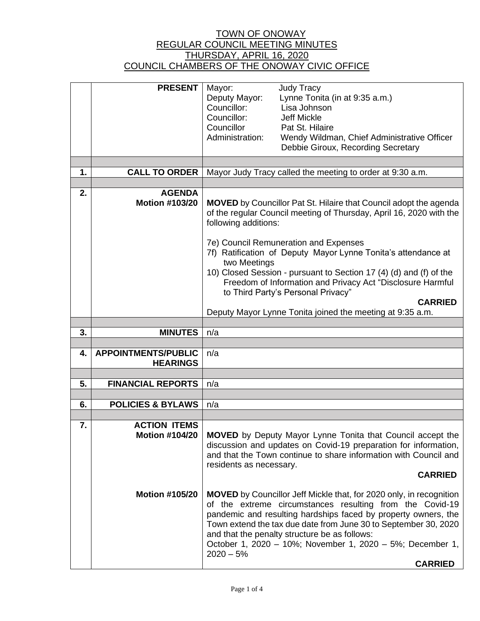|    | <b>PRESENT</b>                                | <b>Judy Tracy</b><br>Mayor:<br>Lynne Tonita (in at 9:35 a.m.)<br>Deputy Mayor:<br>Councillor:<br>Lisa Johnson<br>Councillor:<br><b>Jeff Mickle</b><br>Councillor<br>Pat St. Hilaire<br>Administration:<br>Wendy Wildman, Chief Administrative Officer<br>Debbie Giroux, Recording Secretary                                                                                                                                                                                                                                                                |  |  |
|----|-----------------------------------------------|------------------------------------------------------------------------------------------------------------------------------------------------------------------------------------------------------------------------------------------------------------------------------------------------------------------------------------------------------------------------------------------------------------------------------------------------------------------------------------------------------------------------------------------------------------|--|--|
| 1. | <b>CALL TO ORDER</b>                          | Mayor Judy Tracy called the meeting to order at 9:30 a.m.                                                                                                                                                                                                                                                                                                                                                                                                                                                                                                  |  |  |
|    |                                               |                                                                                                                                                                                                                                                                                                                                                                                                                                                                                                                                                            |  |  |
| 2. | <b>AGENDA</b><br><b>Motion #103/20</b>        | <b>MOVED</b> by Councillor Pat St. Hilaire that Council adopt the agenda<br>of the regular Council meeting of Thursday, April 16, 2020 with the<br>following additions:<br>7e) Council Remuneration and Expenses<br>7f) Ratification of Deputy Mayor Lynne Tonita's attendance at<br>two Meetings<br>10) Closed Session - pursuant to Section 17 (4) (d) and (f) of the<br>Freedom of Information and Privacy Act "Disclosure Harmful<br>to Third Party's Personal Privacy"<br><b>CARRIED</b><br>Deputy Mayor Lynne Tonita joined the meeting at 9:35 a.m. |  |  |
| 3. | <b>MINUTES</b>                                | n/a                                                                                                                                                                                                                                                                                                                                                                                                                                                                                                                                                        |  |  |
|    |                                               |                                                                                                                                                                                                                                                                                                                                                                                                                                                                                                                                                            |  |  |
| 4. | <b>APPOINTMENTS/PUBLIC</b><br><b>HEARINGS</b> | n/a                                                                                                                                                                                                                                                                                                                                                                                                                                                                                                                                                        |  |  |
| 5. | <b>FINANCIAL REPORTS</b>                      | n/a                                                                                                                                                                                                                                                                                                                                                                                                                                                                                                                                                        |  |  |
|    |                                               |                                                                                                                                                                                                                                                                                                                                                                                                                                                                                                                                                            |  |  |
| 6. | <b>POLICIES &amp; BYLAWS</b>                  | n/a                                                                                                                                                                                                                                                                                                                                                                                                                                                                                                                                                        |  |  |
|    |                                               |                                                                                                                                                                                                                                                                                                                                                                                                                                                                                                                                                            |  |  |
| 7. | <b>ACTION ITEMS</b><br><b>Motion #104/20</b>  | MOVED by Deputy Mayor Lynne Tonita that Council accept the<br>discussion and updates on Covid-19 preparation for information,<br>and that the Town continue to share information with Council and<br>residents as necessary.<br><b>CARRIED</b>                                                                                                                                                                                                                                                                                                             |  |  |
|    | <b>Motion #105/20</b>                         | <b>MOVED</b> by Councillor Jeff Mickle that, for 2020 only, in recognition<br>of the extreme circumstances resulting from the Covid-19<br>pandemic and resulting hardships faced by property owners, the<br>Town extend the tax due date from June 30 to September 30, 2020<br>and that the penalty structure be as follows:<br>October 1, 2020 - 10%; November 1, 2020 - 5%; December 1,<br>$2020 - 5%$<br><b>CARRIED</b>                                                                                                                                 |  |  |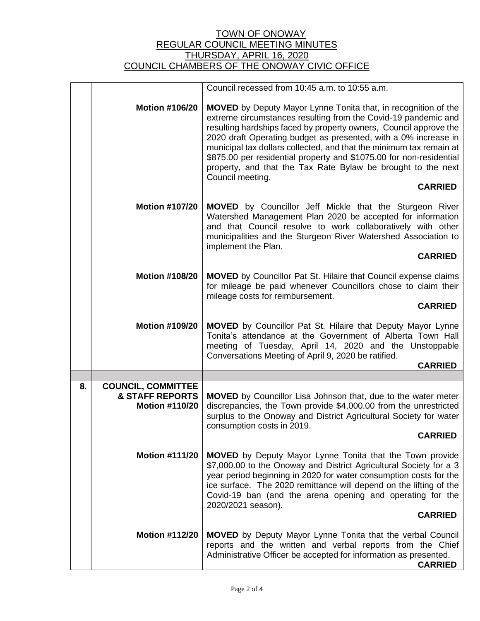|    | Council recessed from 10:45 a.m. to 10:55 a.m.                                                                                                                                                                                                                                                                                                                                                                                                                                                                                                                                                                                                                                    |                                                                                                                                                                                                                                                                                                                                                                                                                                                                                                                                     |  |
|----|-----------------------------------------------------------------------------------------------------------------------------------------------------------------------------------------------------------------------------------------------------------------------------------------------------------------------------------------------------------------------------------------------------------------------------------------------------------------------------------------------------------------------------------------------------------------------------------------------------------------------------------------------------------------------------------|-------------------------------------------------------------------------------------------------------------------------------------------------------------------------------------------------------------------------------------------------------------------------------------------------------------------------------------------------------------------------------------------------------------------------------------------------------------------------------------------------------------------------------------|--|
|    | <b>Motion #106/20</b>                                                                                                                                                                                                                                                                                                                                                                                                                                                                                                                                                                                                                                                             | <b>MOVED</b> by Deputy Mayor Lynne Tonita that, in recognition of the<br>extreme circumstances resulting from the Covid-19 pandemic and<br>resulting hardships faced by property owners, Council approve the<br>2020 draft Operating budget as presented, with a 0% increase in<br>municipal tax dollars collected, and that the minimum tax remain at<br>\$875.00 per residential property and \$1075.00 for non-residential<br>property, and that the Tax Rate Bylaw be brought to the next<br>Council meeting.<br><b>CARRIED</b> |  |
|    | <b>Motion #107/20</b>                                                                                                                                                                                                                                                                                                                                                                                                                                                                                                                                                                                                                                                             | <b>MOVED</b> by Councillor Jeff Mickle that the Sturgeon River<br>Watershed Management Plan 2020 be accepted for information<br>and that Council resolve to work collaboratively with other<br>municipalities and the Sturgeon River Watershed Association to<br>implement the Plan.                                                                                                                                                                                                                                                |  |
|    |                                                                                                                                                                                                                                                                                                                                                                                                                                                                                                                                                                                                                                                                                   | <b>CARRIED</b>                                                                                                                                                                                                                                                                                                                                                                                                                                                                                                                      |  |
|    | <b>Motion #108/20</b>                                                                                                                                                                                                                                                                                                                                                                                                                                                                                                                                                                                                                                                             | <b>MOVED</b> by Councillor Pat St. Hilaire that Council expense claims<br>for mileage be paid whenever Councillors chose to claim their<br>mileage costs for reimbursement.                                                                                                                                                                                                                                                                                                                                                         |  |
|    |                                                                                                                                                                                                                                                                                                                                                                                                                                                                                                                                                                                                                                                                                   | <b>CARRIED</b>                                                                                                                                                                                                                                                                                                                                                                                                                                                                                                                      |  |
|    | <b>Motion #109/20</b>                                                                                                                                                                                                                                                                                                                                                                                                                                                                                                                                                                                                                                                             | <b>MOVED</b> by Councillor Pat St. Hilaire that Deputy Mayor Lynne<br>Tonita's attendance at the Government of Alberta Town Hall<br>meeting of Tuesday, April 14, 2020 and the Unstoppable<br>Conversations Meeting of April 9, 2020 be ratified.                                                                                                                                                                                                                                                                                   |  |
|    |                                                                                                                                                                                                                                                                                                                                                                                                                                                                                                                                                                                                                                                                                   | <b>CARRIED</b>                                                                                                                                                                                                                                                                                                                                                                                                                                                                                                                      |  |
|    |                                                                                                                                                                                                                                                                                                                                                                                                                                                                                                                                                                                                                                                                                   |                                                                                                                                                                                                                                                                                                                                                                                                                                                                                                                                     |  |
| 8. | <b>COUNCIL, COMMITTEE</b><br><b>&amp; STAFF REPORTS</b><br><b>Motion #110/20</b>                                                                                                                                                                                                                                                                                                                                                                                                                                                                                                                                                                                                  | <b>MOVED</b> by Councillor Lisa Johnson that, due to the water meter<br>discrepancies, the Town provide \$4,000.00 from the unrestricted<br>surplus to the Onoway and District Agricultural Society for water<br>consumption costs in 2019.                                                                                                                                                                                                                                                                                         |  |
|    | <b>CARRIED</b><br><b>Motion #111/20</b><br><b>MOVED</b> by Deputy Mayor Lynne Tonita that the Town provide<br>\$7,000.00 to the Onoway and District Agricultural Society for a 3<br>year period beginning in 2020 for water consumption costs for the<br>ice surface. The 2020 remittance will depend on the lifting of the<br>Covid-19 ban (and the arena opening and operating for the<br>2020/2021 season).<br><b>CARRIED</b><br><b>Motion #112/20</b><br><b>MOVED</b> by Deputy Mayor Lynne Tonita that the verbal Council<br>reports and the written and verbal reports from the Chief<br>Administrative Officer be accepted for information as presented.<br><b>CARRIED</b> |                                                                                                                                                                                                                                                                                                                                                                                                                                                                                                                                     |  |
|    |                                                                                                                                                                                                                                                                                                                                                                                                                                                                                                                                                                                                                                                                                   |                                                                                                                                                                                                                                                                                                                                                                                                                                                                                                                                     |  |
|    |                                                                                                                                                                                                                                                                                                                                                                                                                                                                                                                                                                                                                                                                                   |                                                                                                                                                                                                                                                                                                                                                                                                                                                                                                                                     |  |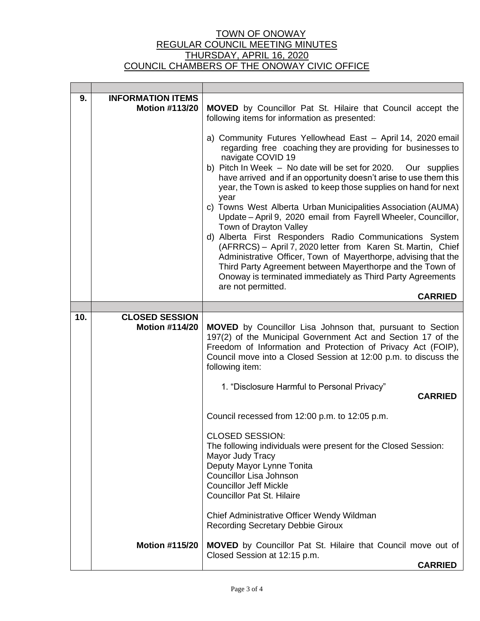| 9.  | <b>INFORMATION ITEMS</b><br><b>Motion #113/20</b>                       | <b>MOVED</b> by Councillor Pat St. Hilaire that Council accept the<br>following items for information as presented:<br>a) Community Futures Yellowhead East - April 14, 2020 email<br>regarding free coaching they are providing for businesses to<br>navigate COVID 19<br>b) Pitch In Week - No date will be set for 2020. Our supplies<br>have arrived and if an opportunity doesn't arise to use them this<br>year, the Town is asked to keep those supplies on hand for next<br>year<br>c) Towns West Alberta Urban Municipalities Association (AUMA)<br>Update - April 9, 2020 email from Fayrell Wheeler, Councillor,<br>Town of Drayton Valley<br>d) Alberta First Responders Radio Communications System<br>(AFRRCS) - April 7, 2020 letter from Karen St. Martin, Chief<br>Administrative Officer, Town of Mayerthorpe, advising that the<br>Third Party Agreement between Mayerthorpe and the Town of<br>Onoway is terminated immediately as Third Party Agreements<br>are not permitted.<br><b>CARRIED</b> |  |  |
|-----|-------------------------------------------------------------------------|-----------------------------------------------------------------------------------------------------------------------------------------------------------------------------------------------------------------------------------------------------------------------------------------------------------------------------------------------------------------------------------------------------------------------------------------------------------------------------------------------------------------------------------------------------------------------------------------------------------------------------------------------------------------------------------------------------------------------------------------------------------------------------------------------------------------------------------------------------------------------------------------------------------------------------------------------------------------------------------------------------------------------|--|--|
|     |                                                                         |                                                                                                                                                                                                                                                                                                                                                                                                                                                                                                                                                                                                                                                                                                                                                                                                                                                                                                                                                                                                                       |  |  |
| 10. | <b>CLOSED SESSION</b><br><b>Motion #114/20</b><br><b>Motion #115/20</b> | MOVED by Councillor Lisa Johnson that, pursuant to Section<br>197(2) of the Municipal Government Act and Section 17 of the<br>Freedom of Information and Protection of Privacy Act (FOIP),<br>Council move into a Closed Session at 12:00 p.m. to discuss the<br>following item:<br>1. "Disclosure Harmful to Personal Privacy"<br><b>CARRIED</b><br>Council recessed from 12:00 p.m. to 12:05 p.m.<br><b>CLOSED SESSION:</b><br>The following individuals were present for the Closed Session:<br>Mayor Judy Tracy<br>Deputy Mayor Lynne Tonita<br>Councillor Lisa Johnson<br><b>Councillor Jeff Mickle</b><br><b>Councillor Pat St. Hilaire</b><br>Chief Administrative Officer Wendy Wildman<br><b>Recording Secretary Debbie Giroux</b><br><b>MOVED</b> by Councillor Pat St. Hilaire that Council move out of                                                                                                                                                                                                    |  |  |
|     |                                                                         | Closed Session at 12:15 p.m.<br><b>CARRIED</b>                                                                                                                                                                                                                                                                                                                                                                                                                                                                                                                                                                                                                                                                                                                                                                                                                                                                                                                                                                        |  |  |